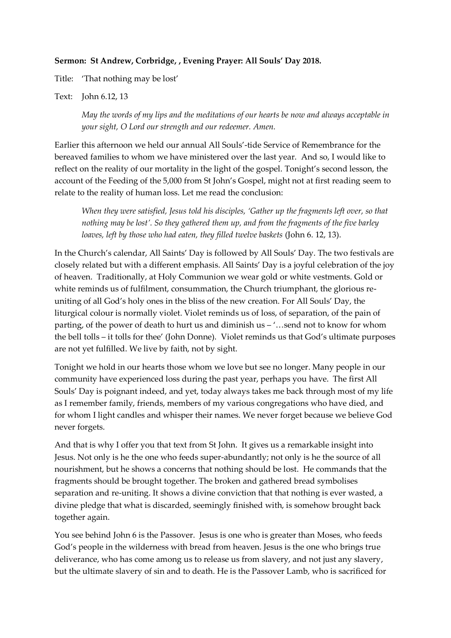## **Sermon: St Andrew, Corbridge, , Evening Prayer: All Souls' Day 2018.**

Title: 'That nothing may be lost'

Text: John 6.12, 13

*May the words of my lips and the meditations of our hearts be now and always acceptable in your sight, O Lord our strength and our redeemer. Amen.* 

Earlier this afternoon we held our annual All Souls'-tide Service of Remembrance for the bereaved families to whom we have ministered over the last year. And so, I would like to reflect on the reality of our mortality in the light of the gospel. Tonight's second lesson, the account of the Feeding of the 5,000 from St John's Gospel, might not at first reading seem to relate to the reality of human loss. Let me read the conclusion:

*When they were satisfied, Jesus told his disciples, 'Gather up the fragments left over, so that nothing may be lost'. So they gathered them up, and from the fragments of the five barley loaves, left by those who had eaten, they filled twelve baskets* (John 6. 12, 13).

In the Church's calendar, All Saints' Day is followed by All Souls' Day. The two festivals are closely related but with a different emphasis. All Saints' Day is a joyful celebration of the joy of heaven. Traditionally, at Holy Communion we wear gold or white vestments. Gold or white reminds us of fulfilment, consummation, the Church triumphant, the glorious reuniting of all God's holy ones in the bliss of the new creation. For All Souls' Day, the liturgical colour is normally violet. Violet reminds us of loss, of separation, of the pain of parting, of the power of death to hurt us and diminish us – '…send not to know for whom the bell tolls – it tolls for thee' (John Donne). Violet reminds us that God's ultimate purposes are not yet fulfilled. We live by faith, not by sight.

Tonight we hold in our hearts those whom we love but see no longer. Many people in our community have experienced loss during the past year, perhaps you have. The first All Souls' Day is poignant indeed, and yet, today always takes me back through most of my life as I remember family, friends, members of my various congregations who have died, and for whom I light candles and whisper their names. We never forget because we believe God never forgets.

And that is why I offer you that text from St John. It gives us a remarkable insight into Jesus. Not only is he the one who feeds super-abundantly; not only is he the source of all nourishment, but he shows a concerns that nothing should be lost. He commands that the fragments should be brought together. The broken and gathered bread symbolises separation and re-uniting. It shows a divine conviction that that nothing is ever wasted, a divine pledge that what is discarded, seemingly finished with, is somehow brought back together again.

You see behind John 6 is the Passover. Jesus is one who is greater than Moses, who feeds God's people in the wilderness with bread from heaven. Jesus is the one who brings true deliverance, who has come among us to release us from slavery, and not just any slavery, but the ultimate slavery of sin and to death. He is the Passover Lamb, who is sacrificed for